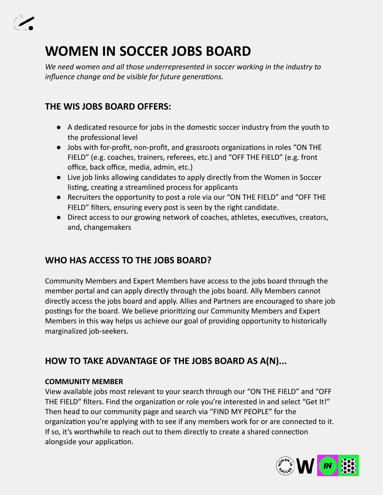

# **WOMEN IN SOCCER JOBS BOARD**

*We need women and all those underrepresented in soccer working in the industry to influence change and be visible for future generations.* 

### **THE WIS JOBS BOARD OFFERS:**

- A dedicated resource for jobs in the domestic soccer industry from the youth to the professional level
- Jobs with for-profit, non-profit, and grassroots organizations in roles "ON THE FIELD" (e.g. coaches, trainers, referees, etc.) and "OFF THE FIELD" (e.g. front office, back office, media, admin, etc.)
- Live job links allowing candidates to apply directly from the Women in Soccer listing, creating a streamlined process for applicants
- Recruiters the opportunity to post a role via our "ON THE FIELD" and "OFF THE FIELD" filters, ensuring every post is seen by the right candidate.
- Direct access to our growing network of coaches, athletes, executives, creators, and, changemakers

## **WHO HAS ACCESS TO THE JOBS BOARD?**

Community Members and Expert Members have access to the jobs board through the member portal and can apply directly through the jobs board. Ally Members cannot directly access the jobs board and apply. Allies and Partners are encouraged to share job postings for the board. We believe prioritizing our Community Members and Expert Members in this way helps us achieve our goal of providing opportunity to historically marginalized job-seekers.

## **HOW TO TAKE ADVANTAGE OF THE JOBS BOARD AS A(N)...**

#### **COMMUNITY MEMBER**

View available jobs most relevant to your search through our "ON THE FIELD" and "OFF THE FIELD" filters. Find the organization or role you're interested in and select "Get It!" Then head to our community page and search via "FIND MY PEOPLE" for the organization you're applying with to see if any members work for or are connected to it. If so, it's worthwhile to reach out to them directly to create a shared connection alongside your application.